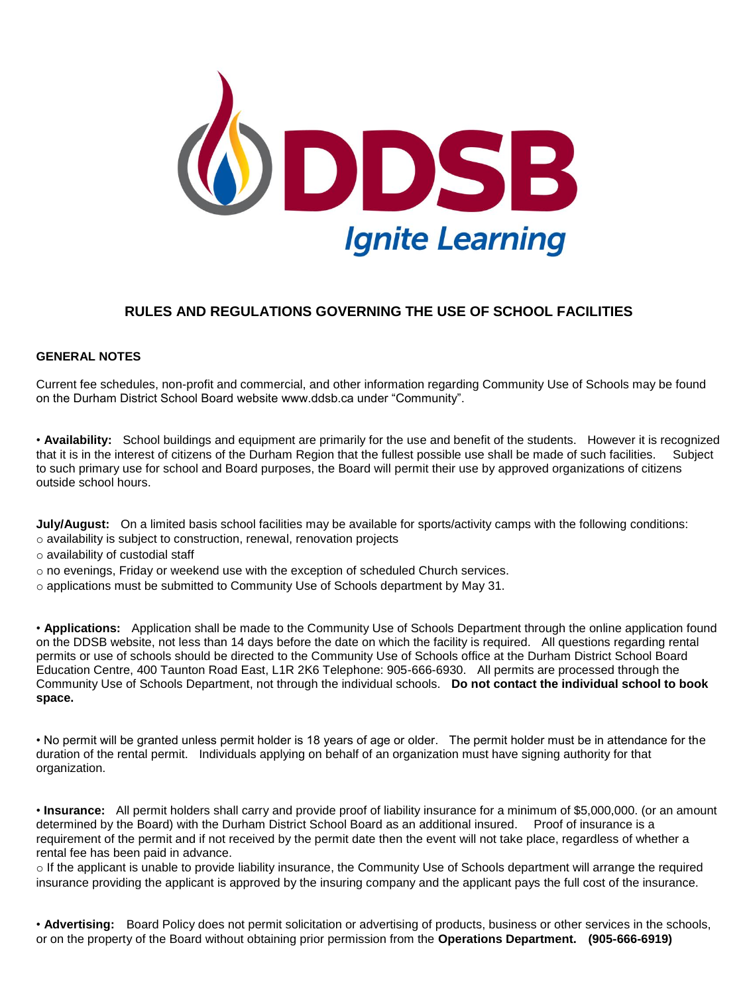

# **RULES AND REGULATIONS GOVERNING THE USE OF SCHOOL FACILITIES**

#### **GENERAL NOTES**

Current fee schedules, non-profit and commercial, and other information regarding Community Use of Schools may be found on the Durham District School Board website www.ddsb.ca under "Community".

• **Availability:** School buildings and equipment are primarily for the use and benefit of the students. However it is recognized that it is in the interest of citizens of the Durham Region that the fullest possible use shall be made of such facilities. Subject to such primary use for school and Board purposes, the Board will permit their use by approved organizations of citizens outside school hours.

**July/August:** On a limited basis school facilities may be available for sports/activity camps with the following conditions: o availability is subject to construction, renewal, renovation projects

o availability of custodial staff

 $\circ$  no evenings, Friday or weekend use with the exception of scheduled Church services.

 $\circ$  applications must be submitted to Community Use of Schools department by May 31.

• **Applications:** Application shall be made to the Community Use of Schools Department through the online application found on the DDSB website, not less than 14 days before the date on which the facility is required. All questions regarding rental permits or use of schools should be directed to the Community Use of Schools office at the Durham District School Board Education Centre, 400 Taunton Road East, L1R 2K6 Telephone: 905-666-6930. All permits are processed through the Community Use of Schools Department, not through the individual schools. **Do not contact the individual school to book space.**

• No permit will be granted unless permit holder is 18 years of age or older. The permit holder must be in attendance for the duration of the rental permit. Individuals applying on behalf of an organization must have signing authority for that organization.

• **Insurance:** All permit holders shall carry and provide proof of liability insurance for a minimum of \$5,000,000. (or an amount determined by the Board) with the Durham District School Board as an additional insured. Proof of insurance is a requirement of the permit and if not received by the permit date then the event will not take place, regardless of whether a rental fee has been paid in advance.

o If the applicant is unable to provide liability insurance, the Community Use of Schools department will arrange the required insurance providing the applicant is approved by the insuring company and the applicant pays the full cost of the insurance.

• **Advertising:** Board Policy does not permit solicitation or advertising of products, business or other services in the schools, or on the property of the Board without obtaining prior permission from the **Operations Department. (905-666-6919)**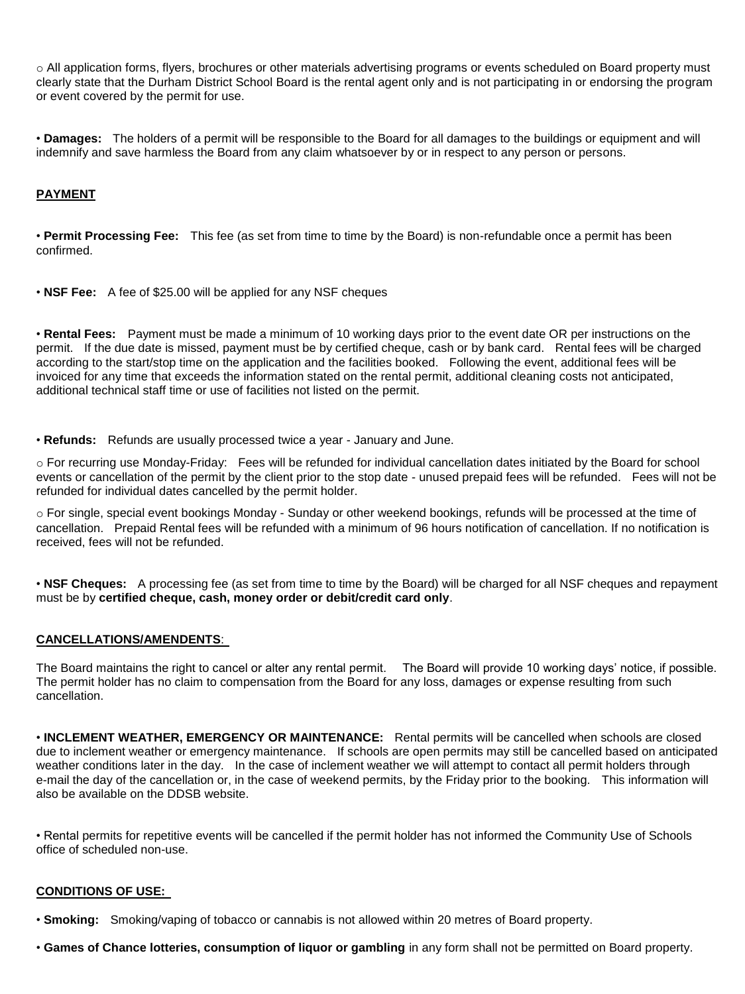o All application forms, flyers, brochures or other materials advertising programs or events scheduled on Board property must clearly state that the Durham District School Board is the rental agent only and is not participating in or endorsing the program or event covered by the permit for use.

• **Damages:** The holders of a permit will be responsible to the Board for all damages to the buildings or equipment and will indemnify and save harmless the Board from any claim whatsoever by or in respect to any person or persons.

# **PAYMENT**

• **Permit Processing Fee:** This fee (as set from time to time by the Board) is non-refundable once a permit has been confirmed.

• **NSF Fee:** A fee of \$25.00 will be applied for any NSF cheques

• **Rental Fees:** Payment must be made a minimum of 10 working days prior to the event date OR per instructions on the permit. If the due date is missed, payment must be by certified cheque, cash or by bank card. Rental fees will be charged according to the start/stop time on the application and the facilities booked. Following the event, additional fees will be invoiced for any time that exceeds the information stated on the rental permit, additional cleaning costs not anticipated, additional technical staff time or use of facilities not listed on the permit.

• **Refunds:** Refunds are usually processed twice a year - January and June.

o For recurring use Monday-Friday: Fees will be refunded for individual cancellation dates initiated by the Board for school events or cancellation of the permit by the client prior to the stop date - unused prepaid fees will be refunded. Fees will not be refunded for individual dates cancelled by the permit holder.

o For single, special event bookings Monday - Sunday or other weekend bookings, refunds will be processed at the time of cancellation. Prepaid Rental fees will be refunded with a minimum of 96 hours notification of cancellation. If no notification is received, fees will not be refunded.

• **NSF Cheques:** A processing fee (as set from time to time by the Board) will be charged for all NSF cheques and repayment must be by **certified cheque, cash, money order or debit/credit card only**.

#### **CANCELLATIONS/AMENDENTS**:

The Board maintains the right to cancel or alter any rental permit. The Board will provide 10 working days' notice, if possible. The permit holder has no claim to compensation from the Board for any loss, damages or expense resulting from such cancellation.

• **INCLEMENT WEATHER, EMERGENCY OR MAINTENANCE:** Rental permits will be cancelled when schools are closed due to inclement weather or emergency maintenance. If schools are open permits may still be cancelled based on anticipated weather conditions later in the day. In the case of inclement weather we will attempt to contact all permit holders through e-mail the day of the cancellation or, in the case of weekend permits, by the Friday prior to the booking. This information will also be available on the DDSB website.

• Rental permits for repetitive events will be cancelled if the permit holder has not informed the Community Use of Schools office of scheduled non-use.

#### **CONDITIONS OF USE:**

• **Smoking:** Smoking/vaping of tobacco or cannabis is not allowed within 20 metres of Board property.

• **Games of Chance lotteries, consumption of liquor or gambling** in any form shall not be permitted on Board property.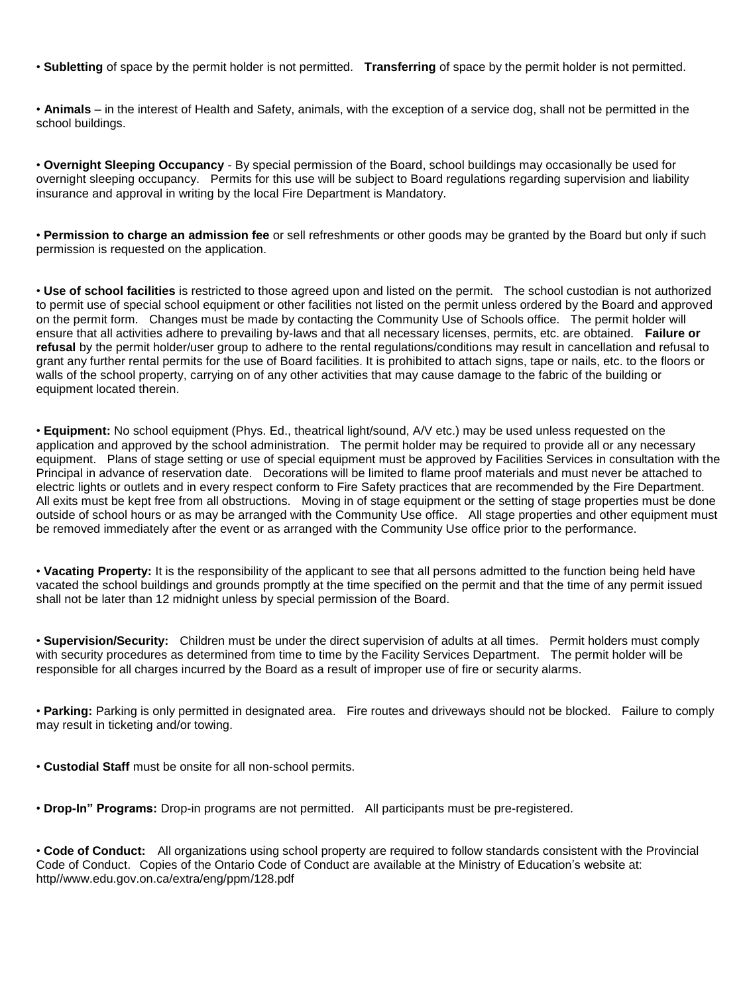• **Subletting** of space by the permit holder is not permitted. **Transferring** of space by the permit holder is not permitted.

• **Animals** – in the interest of Health and Safety, animals, with the exception of a service dog, shall not be permitted in the school buildings.

• **Overnight Sleeping Occupancy** - By special permission of the Board, school buildings may occasionally be used for overnight sleeping occupancy. Permits for this use will be subject to Board regulations regarding supervision and liability insurance and approval in writing by the local Fire Department is Mandatory.

• **Permission to charge an admission fee** or sell refreshments or other goods may be granted by the Board but only if such permission is requested on the application.

• **Use of school facilities** is restricted to those agreed upon and listed on the permit. The school custodian is not authorized to permit use of special school equipment or other facilities not listed on the permit unless ordered by the Board and approved on the permit form. Changes must be made by contacting the Community Use of Schools office. The permit holder will ensure that all activities adhere to prevailing by-laws and that all necessary licenses, permits, etc. are obtained. **Failure or refusal** by the permit holder/user group to adhere to the rental regulations/conditions may result in cancellation and refusal to grant any further rental permits for the use of Board facilities. It is prohibited to attach signs, tape or nails, etc. to the floors or walls of the school property, carrying on of any other activities that may cause damage to the fabric of the building or equipment located therein.

• **Equipment:** No school equipment (Phys. Ed., theatrical light/sound, A/V etc.) may be used unless requested on the application and approved by the school administration. The permit holder may be required to provide all or any necessary equipment. Plans of stage setting or use of special equipment must be approved by Facilities Services in consultation with the Principal in advance of reservation date. Decorations will be limited to flame proof materials and must never be attached to electric lights or outlets and in every respect conform to Fire Safety practices that are recommended by the Fire Department. All exits must be kept free from all obstructions. Moving in of stage equipment or the setting of stage properties must be done outside of school hours or as may be arranged with the Community Use office. All stage properties and other equipment must be removed immediately after the event or as arranged with the Community Use office prior to the performance.

• **Vacating Property:** It is the responsibility of the applicant to see that all persons admitted to the function being held have vacated the school buildings and grounds promptly at the time specified on the permit and that the time of any permit issued shall not be later than 12 midnight unless by special permission of the Board.

• **Supervision/Security:** Children must be under the direct supervision of adults at all times. Permit holders must comply with security procedures as determined from time to time by the Facility Services Department. The permit holder will be responsible for all charges incurred by the Board as a result of improper use of fire or security alarms.

• **Parking:** Parking is only permitted in designated area. Fire routes and driveways should not be blocked. Failure to comply may result in ticketing and/or towing.

• **Custodial Staff** must be onsite for all non-school permits.

• **Drop-In" Programs:** Drop-in programs are not permitted. All participants must be pre-registered.

• **Code of Conduct:** All organizations using school property are required to follow standards consistent with the Provincial Code of Conduct. Copies of the Ontario Code of Conduct are available at the Ministry of Education's website at: http//www.edu.gov.on.ca/extra/eng/ppm/128.pdf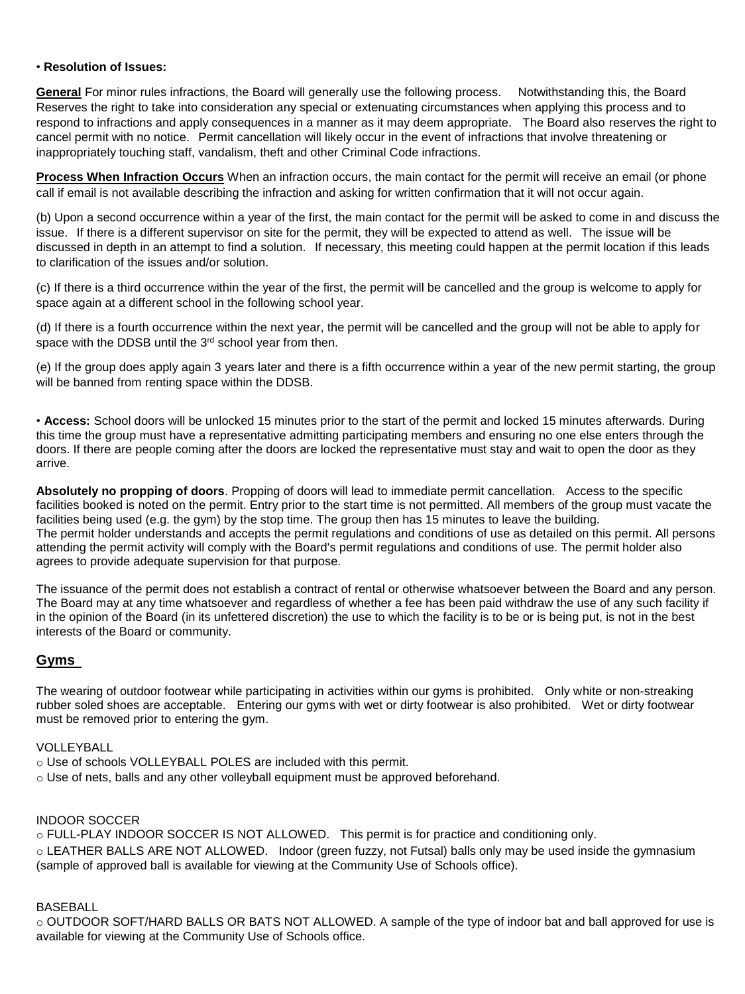#### • **Resolution of Issues:**

**General** For minor rules infractions, the Board will generally use the following process. Notwithstanding this, the Board Reserves the right to take into consideration any special or extenuating circumstances when applying this process and to respond to infractions and apply consequences in a manner as it may deem appropriate. The Board also reserves the right to cancel permit with no notice. Permit cancellation will likely occur in the event of infractions that involve threatening or inappropriately touching staff, vandalism, theft and other Criminal Code infractions.

**Process When Infraction Occurs** When an infraction occurs, the main contact for the permit will receive an email (or phone call if email is not available describing the infraction and asking for written confirmation that it will not occur again.

(b) Upon a second occurrence within a year of the first, the main contact for the permit will be asked to come in and discuss the issue. If there is a different supervisor on site for the permit, they will be expected to attend as well. The issue will be discussed in depth in an attempt to find a solution. If necessary, this meeting could happen at the permit location if this leads to clarification of the issues and/or solution.

(c) If there is a third occurrence within the year of the first, the permit will be cancelled and the group is welcome to apply for space again at a different school in the following school year.

(d) If there is a fourth occurrence within the next year, the permit will be cancelled and the group will not be able to apply for space with the DDSB until the 3<sup>rd</sup> school year from then.

(e) If the group does apply again 3 years later and there is a fifth occurrence within a year of the new permit starting, the group will be banned from renting space within the DDSB.

• **Access:** School doors will be unlocked 15 minutes prior to the start of the permit and locked 15 minutes afterwards. During this time the group must have a representative admitting participating members and ensuring no one else enters through the doors. If there are people coming after the doors are locked the representative must stay and wait to open the door as they arrive.

**Absolutely no propping of doors**. Propping of doors will lead to immediate permit cancellation. Access to the specific facilities booked is noted on the permit. Entry prior to the start time is not permitted. All members of the group must vacate the facilities being used (e.g. the gym) by the stop time. The group then has 15 minutes to leave the building. The permit holder understands and accepts the permit regulations and conditions of use as detailed on this permit. All persons attending the permit activity will comply with the Board's permit regulations and conditions of use. The permit holder also agrees to provide adequate supervision for that purpose.

The issuance of the permit does not establish a contract of rental or otherwise whatsoever between the Board and any person. The Board may at any time whatsoever and regardless of whether a fee has been paid withdraw the use of any such facility if in the opinion of the Board (in its unfettered discretion) the use to which the facility is to be or is being put, is not in the best interests of the Board or community.

# **Gyms**

The wearing of outdoor footwear while participating in activities within our gyms is prohibited. Only white or non-streaking rubber soled shoes are acceptable. Entering our gyms with wet or dirty footwear is also prohibited. Wet or dirty footwear must be removed prior to entering the gym.

#### VOLLEYBALL

- o Use of schools VOLLEYBALL POLES are included with this permit.
- $\circ$  Use of nets, balls and any other volleyball equipment must be approved beforehand.

# INDOOR SOCCER

o FULL-PLAY INDOOR SOCCER IS NOT ALLOWED. This permit is for practice and conditioning only. o LEATHER BALLS ARE NOT ALLOWED. Indoor (green fuzzy, not Futsal) balls only may be used inside the gymnasium (sample of approved ball is available for viewing at the Community Use of Schools office).

### BASEBALL

o OUTDOOR SOFT/HARD BALLS OR BATS NOT ALLOWED. A sample of the type of indoor bat and ball approved for use is available for viewing at the Community Use of Schools office.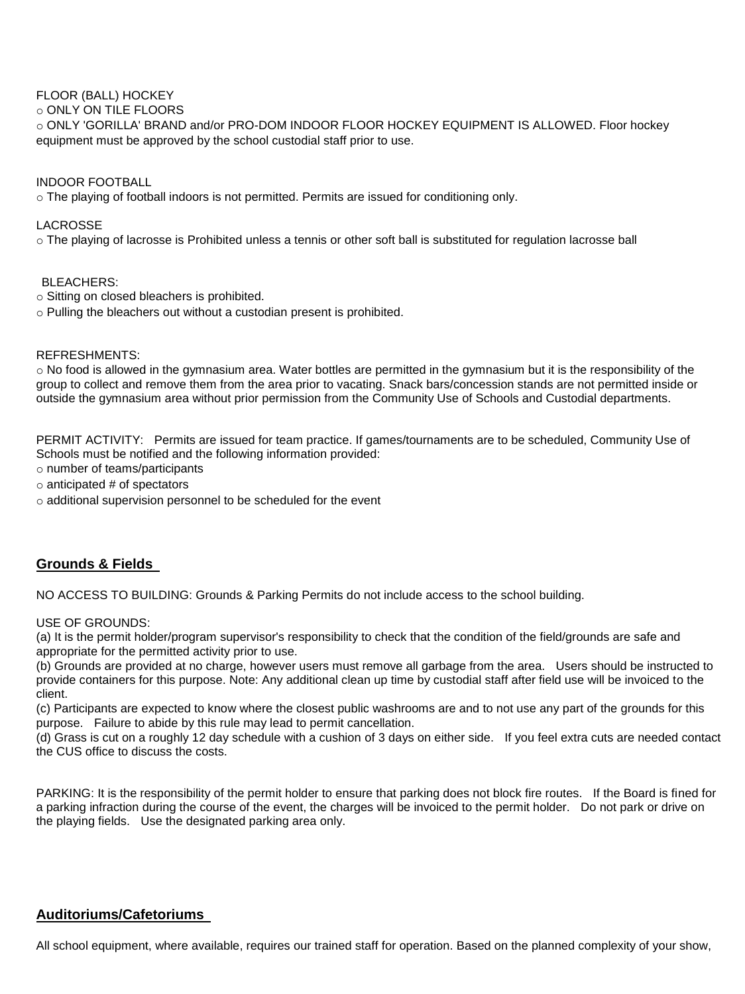# FLOOR (BALL) HOCKEY

#### o ONLY ON TILE FLOORS

o ONLY 'GORILLA' BRAND and/or PRO-DOM INDOOR FLOOR HOCKEY EQUIPMENT IS ALLOWED. Floor hockey equipment must be approved by the school custodial staff prior to use.

### INDOOR FOOTBALL

o The playing of football indoors is not permitted. Permits are issued for conditioning only.

# LACROSSE

o The playing of lacrosse is Prohibited unless a tennis or other soft ball is substituted for regulation lacrosse ball

# BLEACHERS:

- o Sitting on closed bleachers is prohibited.
- o Pulling the bleachers out without a custodian present is prohibited.

# REFRESHMENTS:

o No food is allowed in the gymnasium area. Water bottles are permitted in the gymnasium but it is the responsibility of the group to collect and remove them from the area prior to vacating. Snack bars/concession stands are not permitted inside or outside the gymnasium area without prior permission from the Community Use of Schools and Custodial departments.

PERMIT ACTIVITY: Permits are issued for team practice. If games/tournaments are to be scheduled, Community Use of Schools must be notified and the following information provided:

o number of teams/participants

- $\circ$  anticipated # of spectators
- o additional supervision personnel to be scheduled for the event

# **Grounds & Fields**

NO ACCESS TO BUILDING: Grounds & Parking Permits do not include access to the school building.

#### USE OF GROUNDS:

(a) It is the permit holder/program supervisor's responsibility to check that the condition of the field/grounds are safe and appropriate for the permitted activity prior to use.

(b) Grounds are provided at no charge, however users must remove all garbage from the area. Users should be instructed to provide containers for this purpose. Note: Any additional clean up time by custodial staff after field use will be invoiced to the client.

(c) Participants are expected to know where the closest public washrooms are and to not use any part of the grounds for this purpose. Failure to abide by this rule may lead to permit cancellation.

(d) Grass is cut on a roughly 12 day schedule with a cushion of 3 days on either side. If you feel extra cuts are needed contact the CUS office to discuss the costs.

PARKING: It is the responsibility of the permit holder to ensure that parking does not block fire routes. If the Board is fined for a parking infraction during the course of the event, the charges will be invoiced to the permit holder. Do not park or drive on the playing fields. Use the designated parking area only.

# **Auditoriums/Cafetoriums**

All school equipment, where available, requires our trained staff for operation. Based on the planned complexity of your show,